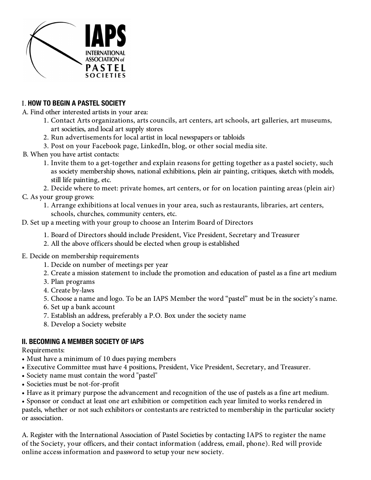

# I. **HOW TO BEGIN A PASTEL SOCIETY**

A. Find other interested artists in your area:

- 1. Contact Arts organizations, arts councils, art centers, art schools, art galleries, art museums, art societies, and local art supply stores
- 2. Run advertisements for local artist in local newspapers or tabloids
- 3. Post on your Facebook page, LinkedIn, blog, or other social media site.
- B. When you have artist contacts:
	- 1. Invite them to a get-together and explain reasons for getting together as a pastel society, such as society membership shows, national exhibitions, plein air painting, critiques, sketch with models, still life painting, etc.

2. Decide where to meet: private homes, art centers, or for on location painting areas (plein air) C. As your group grows:

1. Arrange exhibitions at local venues in your area, such as restaurants, libraries, art centers, schools, churches, community centers, etc.

D. Set up a meeting with your group to choose an Interim Board of Directors

- 1. Board of Directors should include President, Vice President, Secretary and Treasurer
- 2. All the above officers should be elected when group is established
- E. Decide on membership requirements
	- 1. Decide on number of meetings per year
	- 2. Create a mission statement to include the promotion and education of pastel as a fine art medium
	- 3. Plan programs
	- 4. Create by-laws
	- 5. Choose a name and logo. To be an IAPS Member the word "pastel" must be in the society's name.
	- 6. Set up a bank account
	- 7. Establish an address, preferably a P.O. Box under the society name
	- 8. Develop a Society website

### **II. BECOMING A MEMBER SOCIETY OF IAPS**

Requirements:

- Must have a minimum of 10 dues paying members
- Executive Committee must have 4 positions, President, Vice President, Secretary, and Treasurer.
- Society name must contain the word "pastel"
- Societies must be not-for-profit
- Have as it primary purpose the advancement and recognition of the use of pastels as a fine art medium.

• Sponsor or conduct at least one art exhibition or competition each year limited to works rendered in pastels, whether or not such exhibitors or contestants are restricted to membership in the particular society or association.

A. Register with the International Association of Pastel Societies by contacting IAPS to register the name of the Society, your officers, and their contact information (address, email, phone). Red will provide online access information and password to setup your new society.